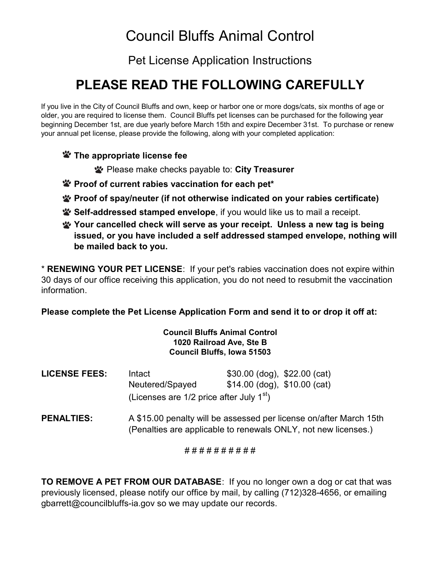# Council Bluffs Animal Control

Pet License Application Instructions

# PLEASE READ THE FOLLOWING CAREFULLY

If you live in the City of Council Bluffs and own, keep or harbor one or more dogs/cats, six months of age or older, you are required to license them. Council Bluffs pet licenses can be purchased for the following year beginning December 1st, are due yearly before March 15th and expire December 31st. To purchase or renew your annual pet license, please provide the following, along with your completed application:

### **\*** The appropriate license fee

**W** Please make checks payable to: City Treasurer

- Proof of current rabies vaccination for each pet\*
- Proof of spay/neuter (if not otherwise indicated on your rabies certificate)
- Self-addressed stamped envelope, if you would like us to mail a receipt.
- Your cancelled check will serve as your receipt. Unless a new tag is being issued, or you have included a self addressed stamped envelope, nothing will be mailed back to you.

\* RENEWING YOUR PET LICENSE: If your pet's rabies vaccination does not expire within 30 days of our office receiving this application, you do not need to resubmit the vaccination information.

### Please complete the Pet License Application Form and send it to or drop it off at:

#### Council Bluffs Animal Control 1020 Railroad Ave, Ste B Council Bluffs, Iowa 51503

| <b>LICENSE FEES:</b> | Intact                                       | \$30.00 (dog), \$22.00 (cat)   |  |
|----------------------|----------------------------------------------|--------------------------------|--|
|                      | Neutered/Spayed                              | $$14.00$ (dog), $$10.00$ (cat) |  |
|                      | (Licenses are $1/2$ price after July $1st$ ) |                                |  |

PENALTIES: A \$15.00 penalty will be assessed per license on/after March 15th (Penalties are applicable to renewals ONLY, not new licenses.)

#### # # # # # # # # # #

TO REMOVE A PET FROM OUR DATABASE: If you no longer own a dog or cat that was previously licensed, please notify our office by mail, by calling (712)328-4656, or emailing gbarrett@councilbluffs-ia.gov so we may update our records.